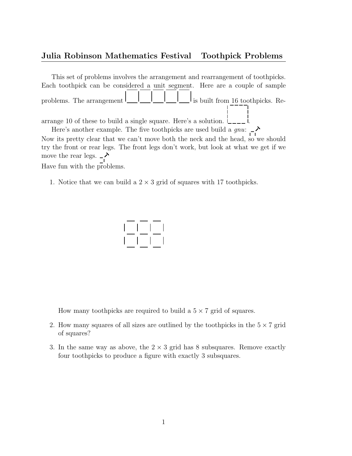## Julia Robinson Mathematics Festival Toothpick Problems

This set of problems involves the arrangement and rearrangement of toothpicks. Each toothpick can be considered a unit segment. Here are a couple of sample problems. The arrangement  $\begin{bmatrix} 1 & 1 \\ 1 & 1 \end{bmatrix}$  is built from 16 toothpicks. Rearrange 10 of these to build a single square. Here's a solution.  $L_{---}$  i.

Here's another example. The five toothpicks are used build a  $gnu$ :  $\rightarrow$ 

Now its pretty clear that we can't move both the neck and the head, so we should try the front or rear legs. The front legs don't work, but look at what we get if we  $\frac{1}{2}$  move the rear legs.  $\frac{1}{2}$ 

Have fun with the problems.

1. Notice that we can build a  $2 \times 3$  grid of squares with 17 toothpicks.



How many toothpicks are required to build a  $5 \times 7$  grid of squares.

- 2. How many squares of all sizes are outlined by the toothpicks in the  $5 \times 7$  grid of squares?
- 3. In the same way as above, the  $2 \times 3$  grid has 8 subsquares. Remove exactly four toothpicks to produce a figure with exactly 3 subsquares.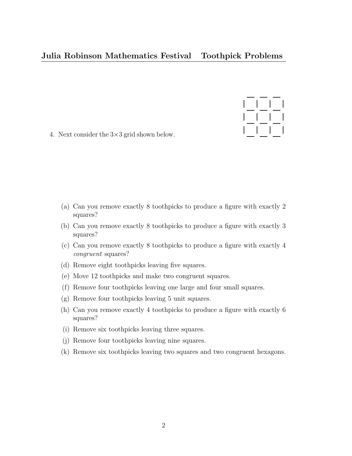## Julia Robinson Mathematics Festival Toothpick Problems



4. Next consider the 3×3 grid shown below.

- (a) Can you remove exactly 8 toothpicks to produce a figure with exactly 2 squares?
- (b) Can you remove exactly 8 toothpicks to produce a figure with exactly 3 squares?
- (c) Can you remove exactly 8 toothpicks to produce a figure with exactly 4 congruent squares?
- (d) Remove eight toothpicks leaving five squares.
- (e) Move 12 toothpicks and make two congruent squares.
- (f) Remove four toothpicks leaving one large and four small squares.
- (g) Remove four toothpicks leaving 5 unit squares.
- (h) Can you remove exactly 4 toothpicks to produce a figure with exactly 6 squares?
- (i) Remove six toothpicks leaving three squares.
- (j) Remove four toothpicks leaving nine squares.
- (k) Remove six toothpicks leaving two squares and two congruent hexagons.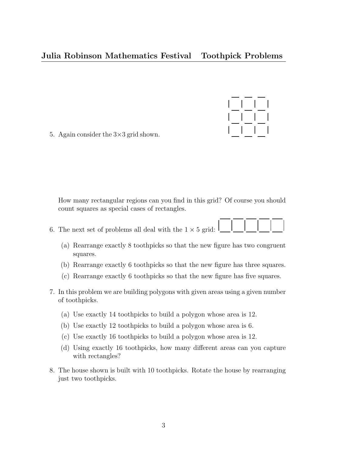## Julia Robinson Mathematics Festival Toothpick Problems

5. Again consider the  $3\times3$  grid shown.

How many rectangular regions can you find in this grid? Of course you should count squares as special cases of rectangles.

- 6. The next set of problems all deal with the  $1 \times 5$  grid:
	- (a) Rearrange exactly 8 toothpicks so that the new figure has two congruent squares.
	- (b) Rearrange exactly 6 toothpicks so that the new figure has three squares.
	- (c) Rearrange exactly 6 toothpicks so that the new figure has five squares.
- 7. In this problem we are building polygons with given areas using a given number of toothpicks.
	- (a) Use exactly 14 toothpicks to build a polygon whose area is 12.
	- (b) Use exactly 12 toothpicks to build a polygon whose area is 6.
	- (c) Use exactly 16 toothpicks to build a polygon whose area is 12.
	- (d) Using exactly 16 toothpicks, how many different areas can you capture with rectangles?
- 8. The house shown is built with 10 toothpicks. Rotate the house by rearranging just two toothpicks.